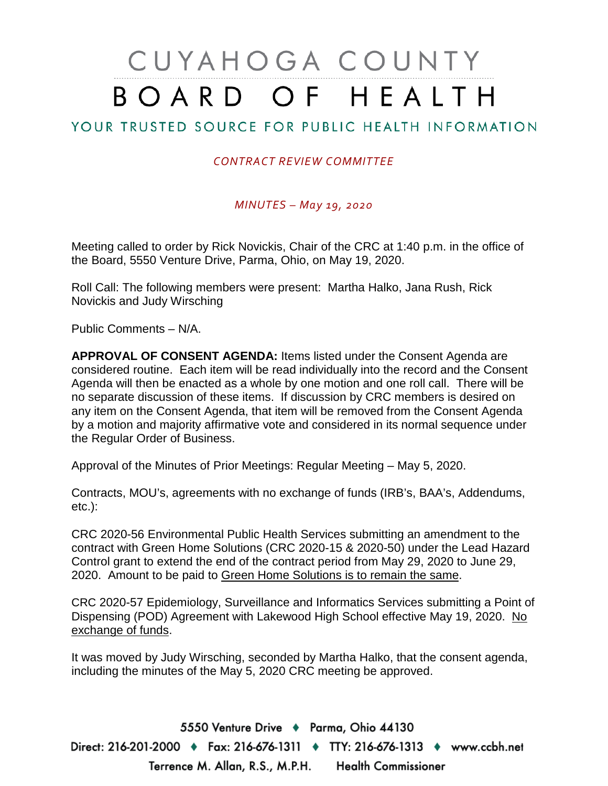# CUYAHOGA COUNTY BOARD OF HEALTH

## YOUR TRUSTED SOURCE FOR PUBLIC HEALTH INFORMATION

### *CONTRACT REVIEW COMMITTEE*

#### *MINUTES – May 19, 2020*

Meeting called to order by Rick Novickis, Chair of the CRC at 1:40 p.m. in the office of the Board, 5550 Venture Drive, Parma, Ohio, on May 19, 2020.

Roll Call: The following members were present: Martha Halko, Jana Rush, Rick Novickis and Judy Wirsching

Public Comments – N/A.

**APPROVAL OF CONSENT AGENDA:** Items listed under the Consent Agenda are considered routine. Each item will be read individually into the record and the Consent Agenda will then be enacted as a whole by one motion and one roll call. There will be no separate discussion of these items. If discussion by CRC members is desired on any item on the Consent Agenda, that item will be removed from the Consent Agenda by a motion and majority affirmative vote and considered in its normal sequence under the Regular Order of Business.

Approval of the Minutes of Prior Meetings: Regular Meeting – May 5, 2020.

Contracts, MOU's, agreements with no exchange of funds (IRB's, BAA's, Addendums, etc.):

CRC 2020-56 Environmental Public Health Services submitting an amendment to the contract with Green Home Solutions (CRC 2020-15 & 2020-50) under the Lead Hazard Control grant to extend the end of the contract period from May 29, 2020 to June 29, 2020. Amount to be paid to Green Home Solutions is to remain the same.

CRC 2020-57 Epidemiology, Surveillance and Informatics Services submitting a Point of Dispensing (POD) Agreement with Lakewood High School effective May 19, 2020. No exchange of funds.

It was moved by Judy Wirsching, seconded by Martha Halko, that the consent agenda, including the minutes of the May 5, 2020 CRC meeting be approved.

5550 Venture Drive + Parma, Ohio 44130 Direct: 216-201-2000 ♦ Fax: 216-676-1311 ♦ TTY: 216-676-1313 ♦ www.ccbh.net Terrence M. Allan, R.S., M.P.H. Health Commissioner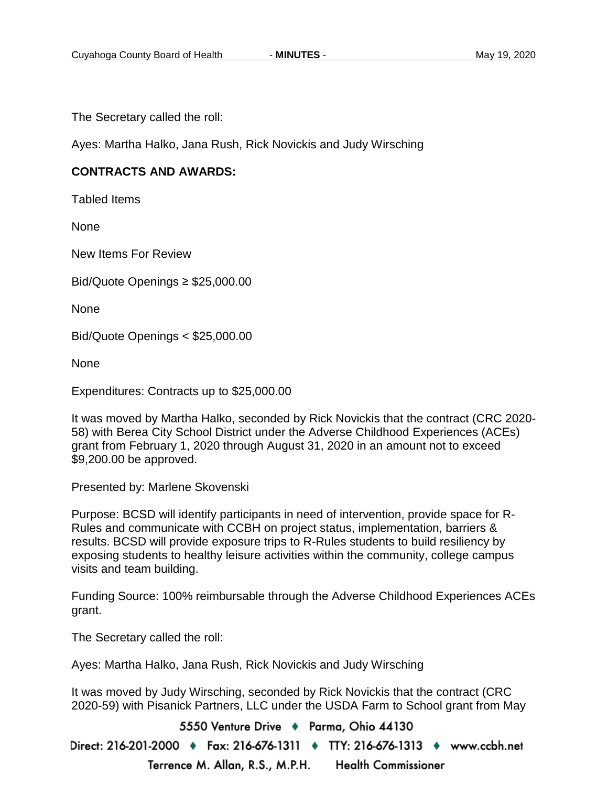The Secretary called the roll:

Ayes: Martha Halko, Jana Rush, Rick Novickis and Judy Wirsching

#### **CONTRACTS AND AWARDS:**

Tabled Items

**None** 

New Items For Review

Bid/Quote Openings ≥ \$25,000.00

None

Bid/Quote Openings < \$25,000.00

None

Expenditures: Contracts up to \$25,000.00

It was moved by Martha Halko, seconded by Rick Novickis that the contract (CRC 2020- 58) with Berea City School District under the Adverse Childhood Experiences (ACEs) grant from February 1, 2020 through August 31, 2020 in an amount not to exceed \$9,200.00 be approved.

Presented by: Marlene Skovenski

Purpose: BCSD will identify participants in need of intervention, provide space for R-Rules and communicate with CCBH on project status, implementation, barriers & results. BCSD will provide exposure trips to R-Rules students to build resiliency by exposing students to healthy leisure activities within the community, college campus visits and team building.

Funding Source: 100% reimbursable through the Adverse Childhood Experiences ACEs grant.

The Secretary called the roll:

Ayes: Martha Halko, Jana Rush, Rick Novickis and Judy Wirsching

It was moved by Judy Wirsching, seconded by Rick Novickis that the contract (CRC 2020-59) with Pisanick Partners, LLC under the USDA Farm to School grant from May

5550 Venture Drive + Parma, Ohio 44130

Direct: 216-201-2000 ♦ Fax: 216-676-1311 ♦ TTY: 216-676-1313 ♦ www.ccbh.net Terrence M. Allan, R.S., M.P.H. **Health Commissioner**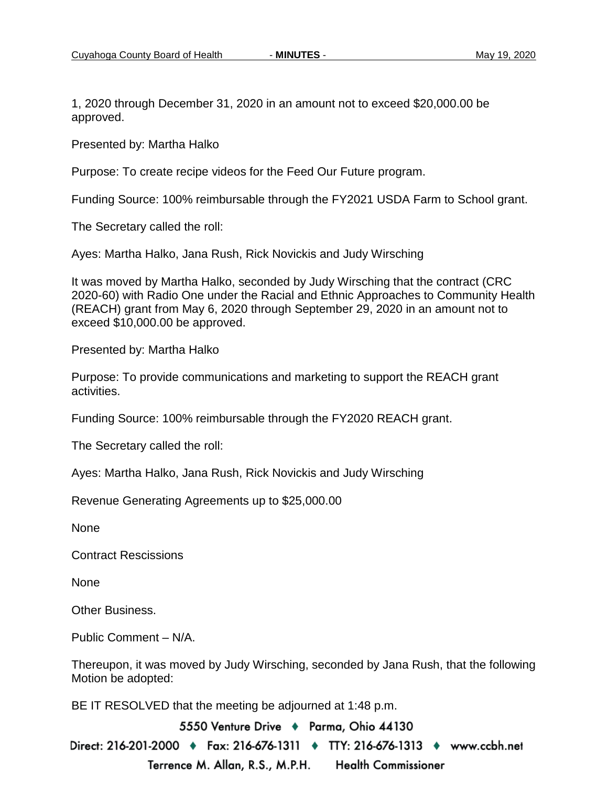1, 2020 through December 31, 2020 in an amount not to exceed \$20,000.00 be approved.

Presented by: Martha Halko

Purpose: To create recipe videos for the Feed Our Future program.

Funding Source: 100% reimbursable through the FY2021 USDA Farm to School grant.

The Secretary called the roll:

Ayes: Martha Halko, Jana Rush, Rick Novickis and Judy Wirsching

It was moved by Martha Halko, seconded by Judy Wirsching that the contract (CRC 2020-60) with Radio One under the Racial and Ethnic Approaches to Community Health (REACH) grant from May 6, 2020 through September 29, 2020 in an amount not to exceed \$10,000.00 be approved.

Presented by: Martha Halko

Purpose: To provide communications and marketing to support the REACH grant activities.

Funding Source: 100% reimbursable through the FY2020 REACH grant.

The Secretary called the roll:

Ayes: Martha Halko, Jana Rush, Rick Novickis and Judy Wirsching

Revenue Generating Agreements up to \$25,000.00

None

Contract Rescissions

None

Other Business.

Public Comment – N/A.

Thereupon, it was moved by Judy Wirsching, seconded by Jana Rush, that the following Motion be adopted:

BE IT RESOLVED that the meeting be adjourned at 1:48 p.m.

5550 Venture Drive + Parma, Ohio 44130 Direct: 216-201-2000 ♦ Fax: 216-676-1311 ♦ TTY: 216-676-1313 ♦ www.ccbh.net Terrence M. Allan, R.S., M.P.H. **Health Commissioner**